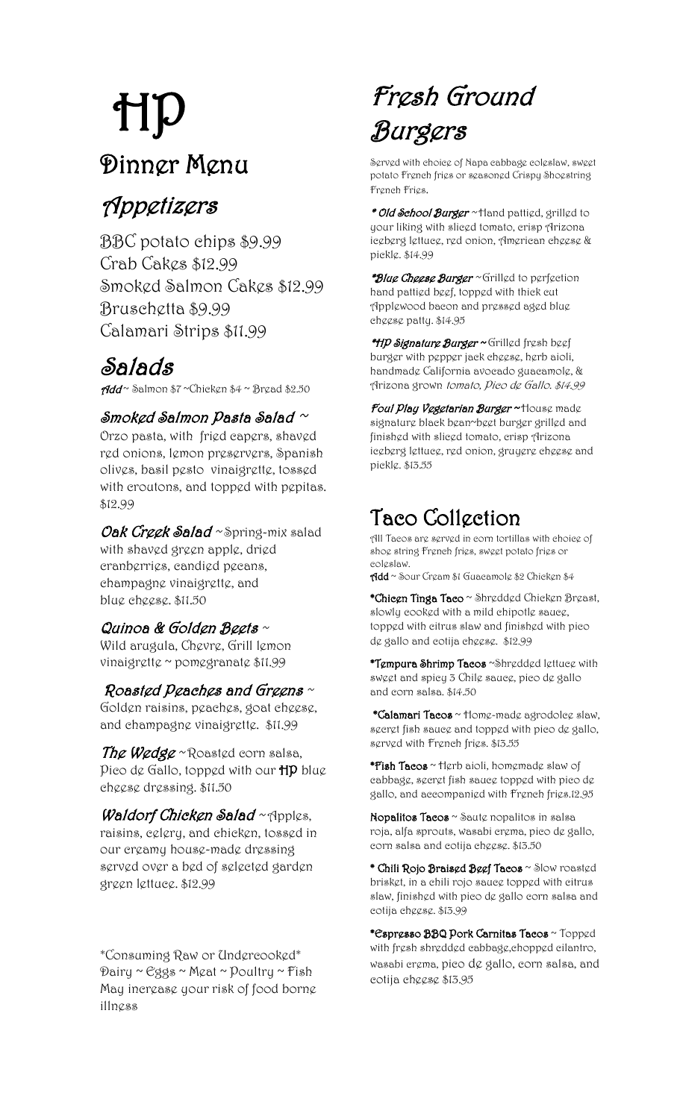## HP Dinner Menu

## Appetizers

BBC potato chips \$9.99 Crab Cakes \$12.99 Smoked Salmon Cakes \$12.99 Bruschetta \$9.99 Calamari Strips \$11.99

## Salads

Add ~ Salmon \$7 ~Chicken \$4 ~ Bread \$2.50

#### Smoked Salmon Pasta Salad  $\sim$

Orzo pasta, with fried capers, shaved red onions, lemon preservers, Spanish olives, basil pesto vinaigrette, tossed with croutons, and topped with pepitas. \$12.99

Oak Creek Salad ~ Spring-mix salad with shaved green apple, dried cranberries, candied pecans, champagne vinaigrette, and blue cheese. \$11.50

#### Quinoa & Golden Beets  $\sim$

Wild arugula, Chevre, Grill lemon vinaigrette ~ pomegranate \$11.99

#### Roasted Peaches and Greens  $\sim$

Golden raisins, peaches, goat cheese, and champagne vinaigrette. \$11.99

The Wedge ~ Roasted corn salsa, Pico de Gallo, topped with our HP blue cheese dressing. \$11.50

Waldorf Chicken Salad  $\sim$  Apples, raisins, celery, and chicken, tossed in our creamy house-made dressing served over a bed of selected garden green lettuce. \$12.99

\*Consuming Raw or Undercooked\*  $\mathcal{D}$ airy ~ Eggs ~ Meat ~  $\mathcal{D}$ oultry ~ Fish May increase your risk of food borne illness

## Fresh Ground Burgers

Served with choice of Napa cabbage coleslaw, sweet potato French fries or seasoned Crispy Shoestring French Fries.

\* Old School Burger ~ Hand pattied, grilled to your liking with sliced tomato, crisp Arizona iceberg lettuce, red onion, American cheese & pickle. \$14.99

\*Blue Cheese Burger ~ Grilled to perfection hand pattied beef, topped with thick cut Applewood bacon and pressed aged blue cheese patty. \$14.95

\*HP Signature Burger ~ Grilled fresh beef burger with pepper jack cheese, herb aioli, handmade California avocado guacamole, & Arizona grown tomato, Pico de Gallo. \$14.99

Foul Play Vegetarian Burger ~ House made signature black bean~beet burger grilled and finished with sliced tomato, crisp Arizona iceberg lettuce, red onion, gruyere cheese and pickle. \$13.55

### Taco Collection

All Tacos are served in corn tortillas with choice of shog string Frgneh frigs, swggt potato frigs or coleslaw.

Add ~ Sour Cream \$1 Guacamole \$2 Chicken \$4

\*Chicen Tinga Taco ~ Shredded Chicken Breast, slowly cooked with a mild chipotle sauce, topped with citrus slaw and finished with pico de gallo and cotija cheese. \$12.99

\*Tempura Shrimp Tacos ~Shredded lettuce with sweet and spicy 3 Chile sauce, pico de gallo and corn salsa. \$14.50

\*Calamari Tacos ~ Home-made agrodolee slaw, secret fish sauce and topped with pico de gallo, served with French fries. \$13.55

\*Fish Tacos ~ Herb aioli, homemade slaw of cabbage, secret fish sauce topped with pico de gallo, and accompanied with French fries.12.95

Nopalitos Tacos ~ Saute nopalitos in salsa roja, alfa sprouts, wasabi crema, pico de gallo, corn salsa and cotija cheese. \$13.50

\* Chili Rojo Braised Beef Tacos ~ Slow roasted brisket, in a chili rojo sauce topped with citrus slaw, finished with pico de gallo corn salsa and cotija cheese. \$13.99

\*Espresso BBQ Pork Carnitas Tacos ~ Topped with fresh shredded cabbage,chopped cilantro, wasabi crema, pico de gallo, corn salsa, and cotija cheese \$13.95